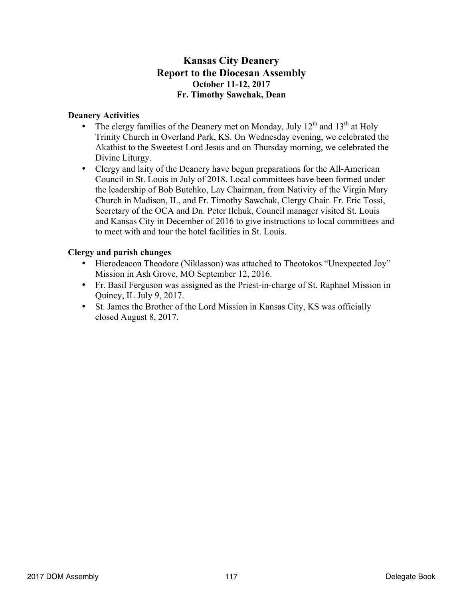## **Kansas City Deanery Report to the Diocesan Assembly October 11-12, 2017 Fr. Timothy Sawchak, Dean**

#### **Deanery Activities**

- The clergy families of the Deanery met on Monday, July  $12<sup>th</sup>$  and  $13<sup>th</sup>$  at Holy Trinity Church in Overland Park, KS. On Wednesday evening, we celebrated the Akathist to the Sweetest Lord Jesus and on Thursday morning, we celebrated the Divine Liturgy.
- Clergy and laity of the Deanery have begun preparations for the All-American Council in St. Louis in July of 2018. Local committees have been formed under the leadership of Bob Butchko, Lay Chairman, from Nativity of the Virgin Mary Church in Madison, IL, and Fr. Timothy Sawchak, Clergy Chair. Fr. Eric Tossi, Secretary of the OCA and Dn. Peter Ilchuk, Council manager visited St. Louis and Kansas City in December of 2016 to give instructions to local committees and to meet with and tour the hotel facilities in St. Louis.

#### **Clergy and parish changes**

- Hierodeacon Theodore (Niklasson) was attached to Theotokos "Unexpected Joy" Mission in Ash Grove, MO September 12, 2016.
- Fr. Basil Ferguson was assigned as the Priest-in-charge of St. Raphael Mission in Quincy, IL July 9, 2017.
- St. James the Brother of the Lord Mission in Kansas City, KS was officially closed August 8, 2017.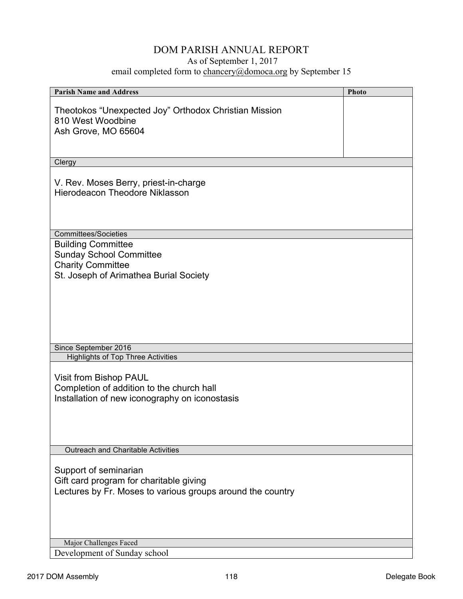## DOM PARISH ANNUAL REPORT

## As of September 1, 2017

email completed form to chancery@domoca.org by September 15

| <b>Parish Name and Address</b>                             | Photo |
|------------------------------------------------------------|-------|
|                                                            |       |
| Theotokos "Unexpected Joy" Orthodox Christian Mission      |       |
| 810 West Woodbine                                          |       |
| Ash Grove, MO 65604                                        |       |
|                                                            |       |
|                                                            |       |
| Clergy                                                     |       |
|                                                            |       |
| V. Rev. Moses Berry, priest-in-charge                      |       |
| <b>Hierodeacon Theodore Niklasson</b>                      |       |
|                                                            |       |
|                                                            |       |
|                                                            |       |
| <b>Committees/Societies</b>                                |       |
| <b>Building Committee</b>                                  |       |
| <b>Sunday School Committee</b>                             |       |
| <b>Charity Committee</b>                                   |       |
| St. Joseph of Arimathea Burial Society                     |       |
|                                                            |       |
|                                                            |       |
|                                                            |       |
|                                                            |       |
|                                                            |       |
|                                                            |       |
| Since September 2016                                       |       |
| <b>Highlights of Top Three Activities</b>                  |       |
|                                                            |       |
| Visit from Bishop PAUL                                     |       |
| Completion of addition to the church hall                  |       |
| Installation of new iconography on iconostasis             |       |
|                                                            |       |
|                                                            |       |
|                                                            |       |
| Outreach and Charitable Activities                         |       |
|                                                            |       |
| Support of seminarian                                      |       |
| Gift card program for charitable giving                    |       |
| Lectures by Fr. Moses to various groups around the country |       |
|                                                            |       |
|                                                            |       |
|                                                            |       |
|                                                            |       |
| Major Challenges Faced                                     |       |
| Development of Sunday school                               |       |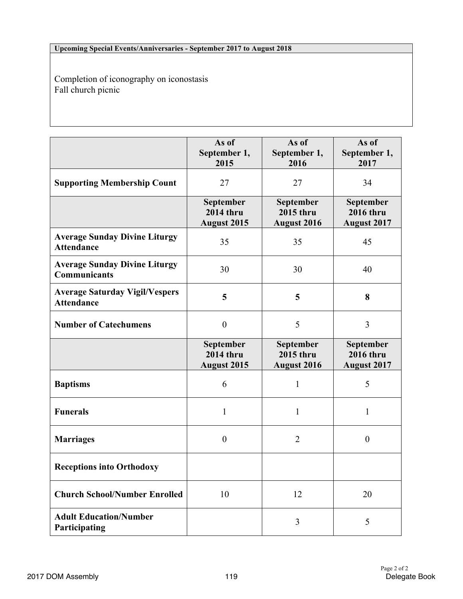#### **Upcoming Special Events/Anniversaries - September 2017 to August 2018**

Completion of iconography on iconostasis Fall church picnic

|                                                             | As of<br>September 1,<br>2015                              | As of<br>September 1,<br>2016                       | As of<br>September 1,<br>2017                              |
|-------------------------------------------------------------|------------------------------------------------------------|-----------------------------------------------------|------------------------------------------------------------|
| <b>Supporting Membership Count</b>                          | 27                                                         | 27                                                  | 34                                                         |
|                                                             | <b>September</b><br><b>2014 thru</b><br><b>August 2015</b> | September<br>2015 thru<br><b>August 2016</b>        | <b>September</b><br><b>2016 thru</b><br><b>August 2017</b> |
| <b>Average Sunday Divine Liturgy</b><br><b>Attendance</b>   | 35                                                         | 35                                                  | 45                                                         |
| <b>Average Sunday Divine Liturgy</b><br><b>Communicants</b> | 30                                                         | 30                                                  | 40                                                         |
| <b>Average Saturday Vigil/Vespers</b><br><b>Attendance</b>  | 5                                                          | 5                                                   | 8                                                          |
| <b>Number of Catechumens</b>                                | $\boldsymbol{0}$                                           | 5                                                   | 3                                                          |
|                                                             | September<br><b>2014 thru</b><br><b>August 2015</b>        | <b>September</b><br>2015 thru<br><b>August 2016</b> | September<br><b>2016 thru</b><br><b>August 2017</b>        |
| <b>Baptisms</b>                                             | 6                                                          | 1                                                   | 5                                                          |
| <b>Funerals</b>                                             | 1                                                          | 1                                                   | 1                                                          |
| <b>Marriages</b>                                            | $\boldsymbol{0}$                                           | $\overline{2}$                                      | $\boldsymbol{0}$                                           |
| <b>Receptions into Orthodoxy</b>                            |                                                            |                                                     |                                                            |
| <b>Church School/Number Enrolled</b>                        | 10                                                         | 12                                                  | 20                                                         |
| <b>Adult Education/Number</b><br>Participating              |                                                            | 3                                                   | 5                                                          |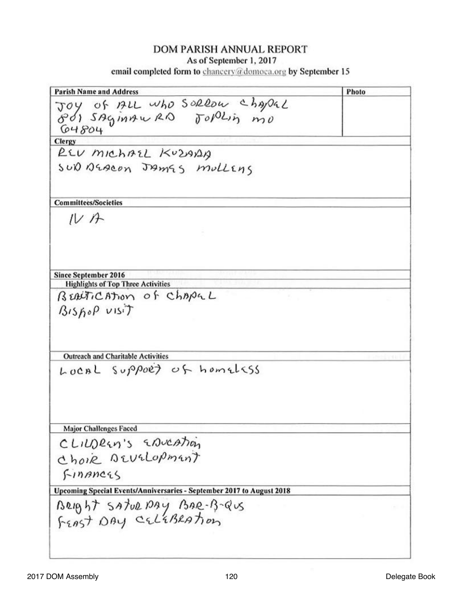**Parish Name and Address** Photo JOY Of ALL Who SORROW Chapal  $64804$ Clergy REV MICHAEL KUZAAA SUD DEACON JAMES MullEns **Committees/Societies**  $IV$ A Since September 2016 **Highlights of Top Three Activities** BEAUTICATION of CHAPEL  $BisboP$  visit Outreach and Charitable Activities LOCAL Support of homelsss Major Challenges Faced CLILDREN'S ENVEATION ChoiR DEUSLOPMENT FINANCES Upcoming Special Events/Anniversaries - September 2017 to August 2018 BRIBHT SATURDAY BAR-B-QUS<br>FEAST DAY CELEBRATION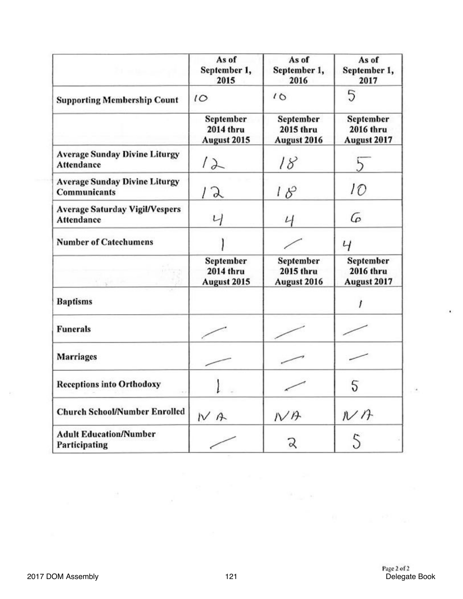|                                                            | As of<br>September 1,<br>2015                | As of<br>September 1,<br>2016                | As of<br>September 1,<br>2017                |
|------------------------------------------------------------|----------------------------------------------|----------------------------------------------|----------------------------------------------|
| <b>Supporting Membership Count</b>                         | 10                                           | 10                                           | 5                                            |
|                                                            | September<br>2014 thru<br>August 2015        | September<br>2015 thru<br>August 2016        | September<br><b>2016 thru</b><br>August 2017 |
| <b>Average Sunday Divine Liturgy</b><br>Attendance         |                                              | 18                                           |                                              |
| <b>Average Sunday Divine Liturgy</b><br>Communicants       | X                                            | $18^{\circ}$                                 | 10                                           |
| <b>Average Saturday Vigil/Vespers</b><br><b>Attendance</b> |                                              | $\iota$                                      | G                                            |
| <b>Number of Catechumens</b>                               |                                              |                                              | Ч                                            |
|                                                            | September<br><b>2014 thru</b><br>August 2015 | September<br><b>2015 thru</b><br>August 2016 | September<br><b>2016 thru</b><br>August 2017 |
| <b>Baptisms</b>                                            |                                              |                                              |                                              |
| <b>Funerals</b>                                            |                                              |                                              |                                              |
| <b>Marriages</b>                                           |                                              |                                              |                                              |
| <b>Receptions into Orthodoxy</b>                           |                                              |                                              |                                              |
| <b>Church School/Number Enrolled</b>                       | NA                                           | $N$ A                                        | $N$ A                                        |
| <b>Adult Education/Number</b><br>Participating             |                                              | Z                                            | 5                                            |

 $\sim$ 

٠

÷.

 $\mathcal{N}^{\left(1\right)}$  ,  $\mathcal{N}^{\left(1\right)}$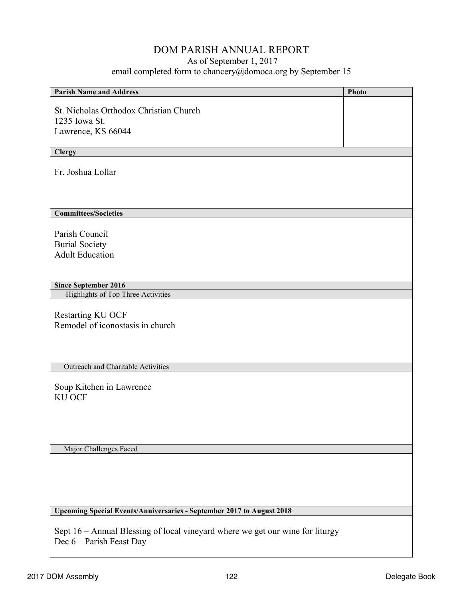# DOM PARISH ANNUAL REPORT

## As of September 1, 2017

email completed form to chancery@domoca.org by September 15

| <b>Parish Name and Address</b>                                                | Photo |
|-------------------------------------------------------------------------------|-------|
|                                                                               |       |
| St. Nicholas Orthodox Christian Church                                        |       |
| 1235 Iowa St.                                                                 |       |
| Lawrence, KS 66044                                                            |       |
|                                                                               |       |
| <b>Clergy</b>                                                                 |       |
|                                                                               |       |
| Fr. Joshua Lollar                                                             |       |
|                                                                               |       |
|                                                                               |       |
|                                                                               |       |
| <b>Committees/Societies</b>                                                   |       |
|                                                                               |       |
| Parish Council                                                                |       |
| <b>Burial Society</b>                                                         |       |
| <b>Adult Education</b>                                                        |       |
|                                                                               |       |
|                                                                               |       |
|                                                                               |       |
| <b>Since September 2016</b><br><b>Highlights of Top Three Activities</b>      |       |
|                                                                               |       |
|                                                                               |       |
| Restarting KU OCF                                                             |       |
| Remodel of iconostasis in church                                              |       |
|                                                                               |       |
|                                                                               |       |
|                                                                               |       |
| Outreach and Charitable Activities                                            |       |
|                                                                               |       |
| Soup Kitchen in Lawrence                                                      |       |
| <b>KU OCF</b>                                                                 |       |
|                                                                               |       |
|                                                                               |       |
|                                                                               |       |
|                                                                               |       |
| Major Challenges Faced                                                        |       |
|                                                                               |       |
|                                                                               |       |
|                                                                               |       |
|                                                                               |       |
|                                                                               |       |
|                                                                               |       |
| Upcoming Special Events/Anniversaries - September 2017 to August 2018         |       |
|                                                                               |       |
| Sept 16 – Annual Blessing of local vineyard where we get our wine for liturgy |       |
| Dec 6 – Parish Feast Day                                                      |       |
|                                                                               |       |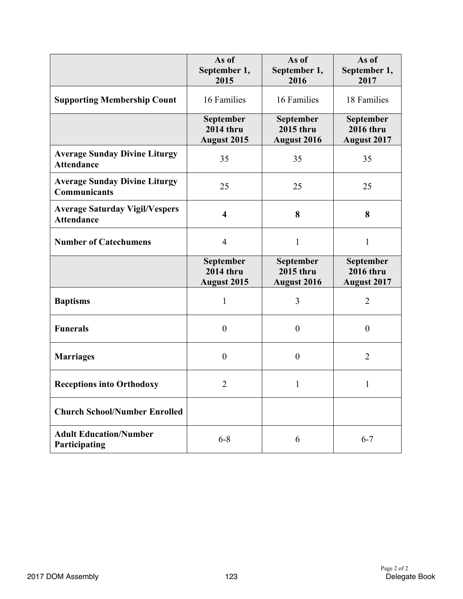|                                                            | As of<br>September 1,                               | As of<br>September 1,                               | As of<br>September 1,                               |
|------------------------------------------------------------|-----------------------------------------------------|-----------------------------------------------------|-----------------------------------------------------|
|                                                            | 2015                                                | 2016                                                | 2017                                                |
| <b>Supporting Membership Count</b>                         | 16 Families                                         | 16 Families                                         | 18 Families                                         |
|                                                            | September<br><b>2014 thru</b><br>August 2015        | September<br><b>2015 thru</b><br><b>August 2016</b> | September<br><b>2016 thru</b><br><b>August 2017</b> |
| <b>Average Sunday Divine Liturgy</b><br><b>Attendance</b>  | 35                                                  | 35                                                  | 35                                                  |
| <b>Average Sunday Divine Liturgy</b><br>Communicants       | 25                                                  | 25                                                  | 25                                                  |
| <b>Average Saturday Vigil/Vespers</b><br><b>Attendance</b> | $\overline{\mathbf{4}}$                             | 8                                                   | 8                                                   |
| <b>Number of Catechumens</b>                               | $\overline{4}$                                      | $\mathbf{1}$                                        | $\mathbf{1}$                                        |
|                                                            | September<br><b>2014 thru</b><br><b>August 2015</b> | September<br>2015 thru<br><b>August 2016</b>        | September<br><b>2016 thru</b><br><b>August 2017</b> |
| <b>Baptisms</b>                                            | $\mathbf{1}$                                        | 3                                                   | $\overline{2}$                                      |
| <b>Funerals</b>                                            | $\theta$                                            | $\boldsymbol{0}$                                    | $\boldsymbol{0}$                                    |
| <b>Marriages</b>                                           | $\boldsymbol{0}$                                    | $\boldsymbol{0}$                                    | $\overline{2}$                                      |
| <b>Receptions into Orthodoxy</b>                           | $\overline{2}$                                      | $\mathbf{1}$                                        | $\mathbf{1}$                                        |
| <b>Church School/Number Enrolled</b>                       |                                                     |                                                     |                                                     |
| <b>Adult Education/Number</b><br>Participating             | $6 - 8$                                             | 6                                                   | $6 - 7$                                             |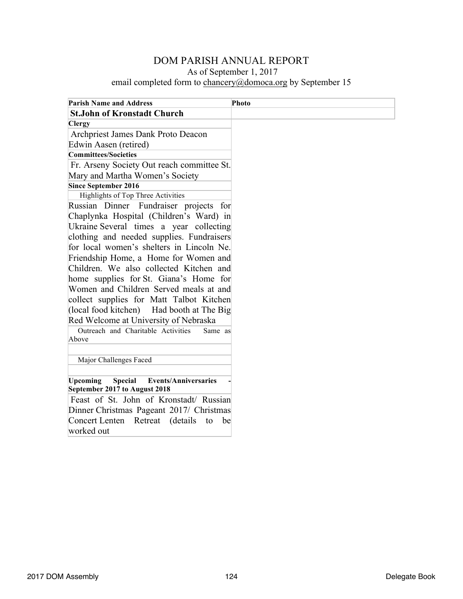| <b>Parish Name and Address</b>                                                                    | <b>Photo</b> |
|---------------------------------------------------------------------------------------------------|--------------|
| <b>St.John of Kronstadt Church</b>                                                                |              |
| <b>Clergy</b>                                                                                     |              |
| Archpriest James Dank Proto Deacon                                                                |              |
| Edwin Aasen (retired)                                                                             |              |
| <b>Committees/Societies</b>                                                                       |              |
| Fr. Arseny Society Out reach committee St.                                                        |              |
| Mary and Martha Women's Society                                                                   |              |
| <b>Since September 2016</b>                                                                       |              |
| Highlights of Top Three Activities                                                                |              |
| Russian Dinner Fundraiser projects for                                                            |              |
| Chaplynka Hospital (Children's Ward) in                                                           |              |
| Ukraine Several times a year collecting                                                           |              |
| clothing and needed supplies. Fundraisers                                                         |              |
| for local women's shelters in Lincoln Ne.                                                         |              |
| Friendship Home, a Home for Women and                                                             |              |
| Children. We also collected Kitchen and                                                           |              |
| home supplies for St. Giana's Home for                                                            |              |
| Women and Children Served meals at and                                                            |              |
| collect supplies for Matt Talbot Kitchen                                                          |              |
| (local food kitchen)<br>Had booth at The Big                                                      |              |
| Red Welcome at University of Nebraska                                                             |              |
| Outreach and Charitable Activities<br>Same as                                                     |              |
| Above                                                                                             |              |
|                                                                                                   |              |
| Major Challenges Faced                                                                            |              |
|                                                                                                   |              |
| <b>Upcoming</b><br><b>Special</b><br><b>Events/Anniversaries</b><br>September 2017 to August 2018 |              |
| Feast of St. John of Kronstadt/ Russian                                                           |              |
| Dinner Christmas Pageant 2017/ Christmas                                                          |              |
| Concert Lenten<br>(details)<br>Retreat<br>to<br>be                                                |              |
| worked out                                                                                        |              |
|                                                                                                   |              |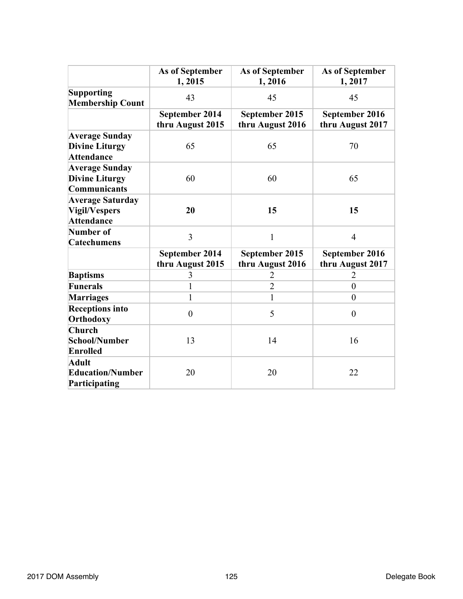|                                                                      | As of September<br>1,2015          | As of September<br>1,2016          | As of September<br>1,2017          |
|----------------------------------------------------------------------|------------------------------------|------------------------------------|------------------------------------|
| <b>Supporting</b><br><b>Membership Count</b>                         | 43                                 | 45                                 | 45                                 |
|                                                                      | September 2014<br>thru August 2015 | September 2015<br>thru August 2016 | September 2016<br>thru August 2017 |
| <b>Average Sunday</b><br><b>Divine Liturgy</b><br><b>Attendance</b>  | 65                                 | 65                                 | 70                                 |
| <b>Average Sunday</b><br><b>Divine Liturgy</b><br>Communicants       | 60                                 | 60                                 | 65                                 |
| <b>Average Saturday</b><br><b>Vigil/Vespers</b><br><b>Attendance</b> | 20                                 | 15                                 | 15                                 |
| Number of<br><b>Catechumens</b>                                      | 3                                  | $\mathbf{1}$                       | $\overline{4}$                     |
|                                                                      | September 2014<br>thru August 2015 | September 2015<br>thru August 2016 | September 2016<br>thru August 2017 |
| <b>Baptisms</b>                                                      | 3                                  | $\overline{2}$                     | 2                                  |
| <b>Funerals</b>                                                      | $\mathbf{1}$                       | $\overline{2}$                     | $\overline{0}$                     |
| <b>Marriages</b>                                                     | $\mathbf{1}$                       | $\mathbf{1}$                       | $\theta$                           |
| <b>Receptions into</b><br>Orthodoxy                                  | $\boldsymbol{0}$                   | 5                                  | $\overline{0}$                     |
| <b>Church</b><br>School/Number<br><b>Enrolled</b>                    | 13                                 | 14                                 | 16                                 |
| Adult<br><b>Education/Number</b><br>Participating                    | 20                                 | 20                                 | 22                                 |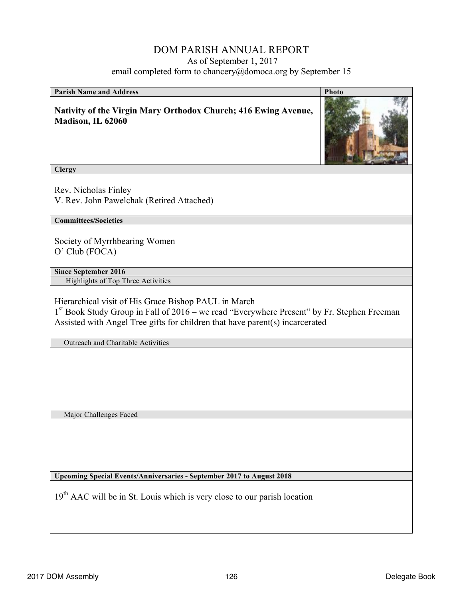## DOM PARISH ANNUAL REPORT As of September 1, 2017

email completed form to chancery@domoca.org by September 15

| <b>Parish Name and Address</b>                                                                                                                                                                                                       | Photo |
|--------------------------------------------------------------------------------------------------------------------------------------------------------------------------------------------------------------------------------------|-------|
| Nativity of the Virgin Mary Orthodox Church; 416 Ewing Avenue,<br>Madison, IL 62060                                                                                                                                                  |       |
| <b>Clergy</b>                                                                                                                                                                                                                        |       |
| Rev. Nicholas Finley<br>V. Rev. John Pawelchak (Retired Attached)                                                                                                                                                                    |       |
| <b>Committees/Societies</b>                                                                                                                                                                                                          |       |
| Society of Myrrhbearing Women<br>O' Club (FOCA)                                                                                                                                                                                      |       |
| <b>Since September 2016</b>                                                                                                                                                                                                          |       |
| <b>Highlights of Top Three Activities</b>                                                                                                                                                                                            |       |
| Hierarchical visit of His Grace Bishop PAUL in March<br>$1st$ Book Study Group in Fall of 2016 – we read "Everywhere Present" by Fr. Stephen Freeman<br>Assisted with Angel Tree gifts for children that have parent(s) incarcerated |       |
| Outreach and Charitable Activities                                                                                                                                                                                                   |       |
|                                                                                                                                                                                                                                      |       |
| Major Challenges Faced                                                                                                                                                                                                               |       |
|                                                                                                                                                                                                                                      |       |
| Upcoming Special Events/Anniversaries - September 2017 to August 2018                                                                                                                                                                |       |
| $19th$ AAC will be in St. Louis which is very close to our parish location                                                                                                                                                           |       |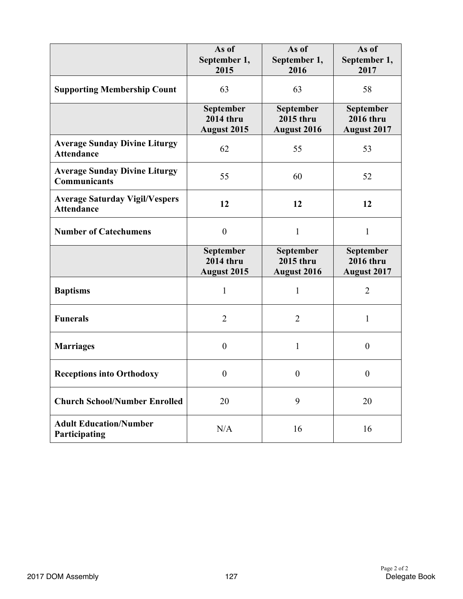|                                                             | As of<br>September 1,<br>2015                       | As of<br>September 1,<br>2016                       | As of<br>September 1,<br>2017                       |
|-------------------------------------------------------------|-----------------------------------------------------|-----------------------------------------------------|-----------------------------------------------------|
| <b>Supporting Membership Count</b>                          | 63                                                  | 63                                                  | 58                                                  |
|                                                             | September<br><b>2014 thru</b><br><b>August 2015</b> | September<br><b>2015 thru</b><br><b>August 2016</b> | September<br><b>2016 thru</b><br><b>August 2017</b> |
| <b>Average Sunday Divine Liturgy</b><br><b>Attendance</b>   | 62                                                  | 55                                                  | 53                                                  |
| <b>Average Sunday Divine Liturgy</b><br><b>Communicants</b> | 55                                                  | 60                                                  | 52                                                  |
| <b>Average Saturday Vigil/Vespers</b><br><b>Attendance</b>  | 12                                                  | 12                                                  | 12                                                  |
| <b>Number of Catechumens</b>                                | $\boldsymbol{0}$                                    | $\mathbf{1}$                                        | $\mathbf{1}$                                        |
|                                                             | September<br><b>2014 thru</b><br><b>August 2015</b> | September<br><b>2015 thru</b><br><b>August 2016</b> | September<br><b>2016 thru</b><br><b>August 2017</b> |
| <b>Baptisms</b>                                             | $\mathbf{1}$                                        | $\mathbf{1}$                                        | $\overline{2}$                                      |
| <b>Funerals</b>                                             | $\overline{2}$                                      | $\overline{2}$                                      | $\mathbf{1}$                                        |
| <b>Marriages</b>                                            | $\boldsymbol{0}$                                    | 1                                                   | $\boldsymbol{0}$                                    |
| <b>Receptions into Orthodoxy</b>                            | $\overline{0}$                                      | $\boldsymbol{0}$                                    | $\boldsymbol{0}$                                    |
| <b>Church School/Number Enrolled</b>                        | 20                                                  | 9                                                   | 20                                                  |
| <b>Adult Education/Number</b><br>Participating              | N/A                                                 | 16                                                  | 16                                                  |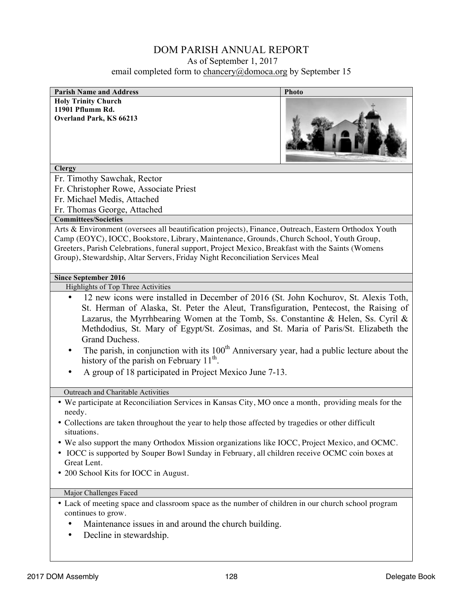| <b>Parish Name and Address</b>                                                                                                                                                                                                                                                                                                                                                                                                                                                                                                                                                                                        | Photo |
|-----------------------------------------------------------------------------------------------------------------------------------------------------------------------------------------------------------------------------------------------------------------------------------------------------------------------------------------------------------------------------------------------------------------------------------------------------------------------------------------------------------------------------------------------------------------------------------------------------------------------|-------|
| <b>Holy Trinity Church</b>                                                                                                                                                                                                                                                                                                                                                                                                                                                                                                                                                                                            |       |
| 11901 Pflumm Rd.                                                                                                                                                                                                                                                                                                                                                                                                                                                                                                                                                                                                      |       |
| Overland Park, KS 66213                                                                                                                                                                                                                                                                                                                                                                                                                                                                                                                                                                                               |       |
| <b>Clergy</b>                                                                                                                                                                                                                                                                                                                                                                                                                                                                                                                                                                                                         |       |
| Fr. Timothy Sawchak, Rector                                                                                                                                                                                                                                                                                                                                                                                                                                                                                                                                                                                           |       |
| Fr. Christopher Rowe, Associate Priest                                                                                                                                                                                                                                                                                                                                                                                                                                                                                                                                                                                |       |
| Fr. Michael Medis, Attached                                                                                                                                                                                                                                                                                                                                                                                                                                                                                                                                                                                           |       |
| Fr. Thomas George, Attached                                                                                                                                                                                                                                                                                                                                                                                                                                                                                                                                                                                           |       |
| <b>Committees/Societies</b>                                                                                                                                                                                                                                                                                                                                                                                                                                                                                                                                                                                           |       |
| Arts & Environment (oversees all beautification projects), Finance, Outreach, Eastern Orthodox Youth<br>Camp (EOYC), IOCC, Bookstore, Library, Maintenance, Grounds, Church School, Youth Group,<br>Greeters, Parish Celebrations, funeral support, Project Mexico, Breakfast with the Saints (Womens<br>Group), Stewardship, Altar Servers, Friday Night Reconciliation Services Meal                                                                                                                                                                                                                                |       |
| <b>Since September 2016</b>                                                                                                                                                                                                                                                                                                                                                                                                                                                                                                                                                                                           |       |
| Highlights of Top Three Activities                                                                                                                                                                                                                                                                                                                                                                                                                                                                                                                                                                                    |       |
| 12 new icons were installed in December of 2016 (St. John Kochurov, St. Alexis Toth,<br>$\bullet$<br>St. Herman of Alaska, St. Peter the Aleut, Transfiguration, Pentecost, the Raising of<br>Lazarus, the Myrrhbearing Women at the Tomb, Ss. Constantine & Helen, Ss. Cyril &<br>Methdodius, St. Mary of Egypt/St. Zosimas, and St. Maria of Paris/St. Elizabeth the<br>Grand Duchess.<br>The parish, in conjunction with its 100 <sup>th</sup> Anniversary year, had a public lecture about the<br>history of the parish on February 11 <sup>th</sup> .<br>A group of 18 participated in Project Mexico June 7-13. |       |
| Outreach and Charitable Activities                                                                                                                                                                                                                                                                                                                                                                                                                                                                                                                                                                                    |       |
| • We participate at Reconciliation Services in Kansas City, MO once a month, providing meals for the<br>needy.                                                                                                                                                                                                                                                                                                                                                                                                                                                                                                        |       |
| • Collections are taken throughout the year to help those affected by tragedies or other difficult<br>situations.                                                                                                                                                                                                                                                                                                                                                                                                                                                                                                     |       |
| • We also support the many Orthodox Mission organizations like IOCC, Project Mexico, and OCMC.<br>• IOCC is supported by Souper Bowl Sunday in February, all children receive OCMC coin boxes at<br>Great Lent.<br>• 200 School Kits for IOCC in August.                                                                                                                                                                                                                                                                                                                                                              |       |
| Major Challenges Faced                                                                                                                                                                                                                                                                                                                                                                                                                                                                                                                                                                                                |       |
| • Lack of meeting space and classroom space as the number of children in our church school program<br>continues to grow.<br>Maintenance issues in and around the church building.<br>Decline in stewardship.<br>٠                                                                                                                                                                                                                                                                                                                                                                                                     |       |
|                                                                                                                                                                                                                                                                                                                                                                                                                                                                                                                                                                                                                       |       |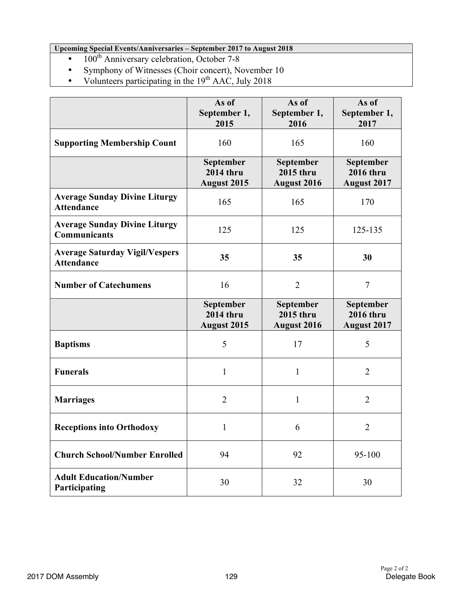**Upcoming Special Events/Anniversaries – September 2017 to August 2018**

- $\bullet$  100<sup>th</sup> Anniversary celebration, October 7-8
- Symphony of Witnesses (Choir concert), November 10
- Volunteers participating in the  $19<sup>th</sup>$  AAC, July 2018

|                                                             | As of<br>September 1,<br>2015                       | As of<br>September 1,<br>2016                       | As of<br>September 1,<br>2017                              |
|-------------------------------------------------------------|-----------------------------------------------------|-----------------------------------------------------|------------------------------------------------------------|
| <b>Supporting Membership Count</b>                          | 160                                                 | 165                                                 | 160                                                        |
|                                                             | September<br><b>2014 thru</b><br><b>August 2015</b> | September<br><b>2015 thru</b><br><b>August 2016</b> | <b>September</b><br><b>2016 thru</b><br><b>August 2017</b> |
| <b>Average Sunday Divine Liturgy</b><br><b>Attendance</b>   | 165                                                 | 165                                                 | 170                                                        |
| <b>Average Sunday Divine Liturgy</b><br><b>Communicants</b> | 125                                                 | 125                                                 | 125-135                                                    |
| <b>Average Saturday Vigil/Vespers</b><br><b>Attendance</b>  | 35                                                  | 35                                                  | 30                                                         |
| <b>Number of Catechumens</b>                                | 16                                                  | $\overline{2}$                                      | $\overline{7}$                                             |
|                                                             | September<br><b>2014 thru</b><br><b>August 2015</b> | September<br>2015 thru<br><b>August 2016</b>        | September<br><b>2016 thru</b><br><b>August 2017</b>        |
| <b>Baptisms</b>                                             | 5                                                   | 17                                                  | 5                                                          |
| <b>Funerals</b>                                             | 1                                                   | 1                                                   | $\overline{2}$                                             |
| <b>Marriages</b>                                            | $\overline{2}$                                      | 1                                                   | $\overline{2}$                                             |
| <b>Receptions into Orthodoxy</b>                            | 1                                                   | 6                                                   | $\overline{2}$                                             |
| <b>Church School/Number Enrolled</b>                        | 94                                                  | 92                                                  | 95-100                                                     |
| <b>Adult Education/Number</b><br>Participating              | 30                                                  | 32                                                  | 30                                                         |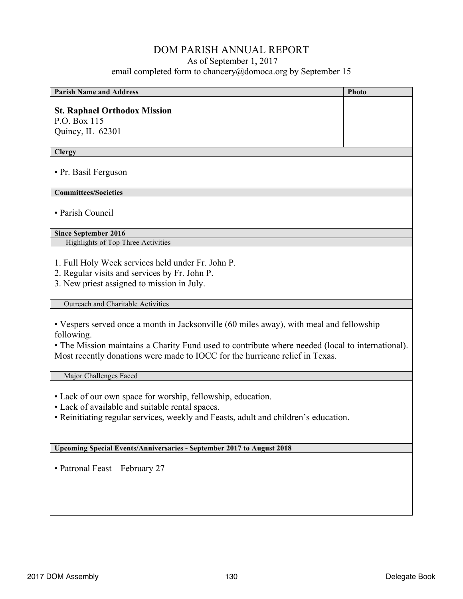| <b>Parish Name and Address</b>                                                                                                                                                                                                                                                            | Photo |  |
|-------------------------------------------------------------------------------------------------------------------------------------------------------------------------------------------------------------------------------------------------------------------------------------------|-------|--|
|                                                                                                                                                                                                                                                                                           |       |  |
| <b>St. Raphael Orthodox Mission</b><br>P.O. Box 115                                                                                                                                                                                                                                       |       |  |
| Quincy, IL 62301                                                                                                                                                                                                                                                                          |       |  |
|                                                                                                                                                                                                                                                                                           |       |  |
| <b>Clergy</b>                                                                                                                                                                                                                                                                             |       |  |
| • Pr. Basil Ferguson                                                                                                                                                                                                                                                                      |       |  |
| <b>Committees/Societies</b>                                                                                                                                                                                                                                                               |       |  |
| • Parish Council                                                                                                                                                                                                                                                                          |       |  |
| <b>Since September 2016</b>                                                                                                                                                                                                                                                               |       |  |
| Highlights of Top Three Activities                                                                                                                                                                                                                                                        |       |  |
| 1. Full Holy Week services held under Fr. John P.<br>2. Regular visits and services by Fr. John P.<br>3. New priest assigned to mission in July.                                                                                                                                          |       |  |
| <b>Outreach and Charitable Activities</b>                                                                                                                                                                                                                                                 |       |  |
| • Vespers served once a month in Jacksonville (60 miles away), with meal and fellowship<br>following.<br>• The Mission maintains a Charity Fund used to contribute where needed (local to international).<br>Most recently donations were made to IOCC for the hurricane relief in Texas. |       |  |
| Major Challenges Faced                                                                                                                                                                                                                                                                    |       |  |
| • Lack of our own space for worship, fellowship, education.<br>• Lack of available and suitable rental spaces.<br>• Reinitiating regular services, weekly and Feasts, adult and children's education.                                                                                     |       |  |
| <b>Upcoming Special Events/Anniversaries - September 2017 to August 2018</b>                                                                                                                                                                                                              |       |  |
| • Patronal Feast - February 27                                                                                                                                                                                                                                                            |       |  |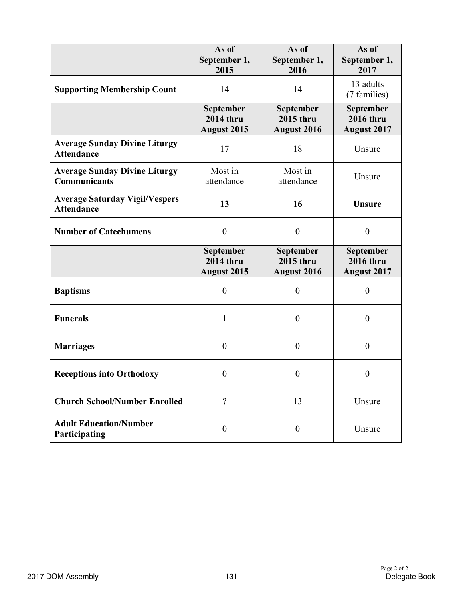|                                                             | As of<br>September 1,<br>2015                       | As of<br>September 1,<br>2016                       | As of<br>September 1,<br>2017                              |
|-------------------------------------------------------------|-----------------------------------------------------|-----------------------------------------------------|------------------------------------------------------------|
| <b>Supporting Membership Count</b>                          | 14                                                  | 14                                                  | 13 adults<br>(7 families)                                  |
|                                                             | September<br><b>2014 thru</b><br><b>August 2015</b> | September<br><b>2015 thru</b><br><b>August 2016</b> | <b>September</b><br><b>2016 thru</b><br><b>August 2017</b> |
| <b>Average Sunday Divine Liturgy</b><br><b>Attendance</b>   | 17                                                  | 18                                                  | Unsure                                                     |
| <b>Average Sunday Divine Liturgy</b><br><b>Communicants</b> | Most in<br>attendance                               | Most in<br>attendance                               | Unsure                                                     |
| <b>Average Saturday Vigil/Vespers</b><br><b>Attendance</b>  | 13                                                  | 16                                                  | <b>Unsure</b>                                              |
| <b>Number of Catechumens</b>                                | $\boldsymbol{0}$                                    | $\boldsymbol{0}$                                    | $\boldsymbol{0}$                                           |
|                                                             | September<br><b>2014 thru</b><br><b>August 2015</b> | September<br><b>2015 thru</b><br><b>August 2016</b> | September<br><b>2016 thru</b><br><b>August 2017</b>        |
| <b>Baptisms</b>                                             | $\overline{0}$                                      | $\boldsymbol{0}$                                    | $\boldsymbol{0}$                                           |
| <b>Funerals</b>                                             | 1                                                   | $\overline{0}$                                      | $\boldsymbol{0}$                                           |
| <b>Marriages</b>                                            | $\overline{0}$                                      | $\overline{0}$                                      | $\boldsymbol{0}$                                           |
| <b>Receptions into Orthodoxy</b>                            | $\boldsymbol{0}$                                    | $\boldsymbol{0}$                                    | $\boldsymbol{0}$                                           |
| <b>Church School/Number Enrolled</b>                        | $\overline{\mathcal{C}}$                            | 13                                                  | Unsure                                                     |
| <b>Adult Education/Number</b><br>Participating              | $\boldsymbol{0}$                                    | $\boldsymbol{0}$                                    | Unsure                                                     |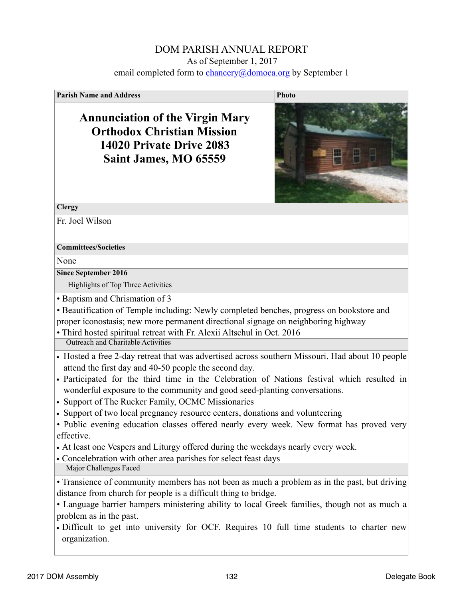| <b>Parish Name and Address</b>                                                                                                                                                                                                                                                                                                                                                                                                                                                                                                                                                                                                                                                                                                              | <b>Photo</b> |
|---------------------------------------------------------------------------------------------------------------------------------------------------------------------------------------------------------------------------------------------------------------------------------------------------------------------------------------------------------------------------------------------------------------------------------------------------------------------------------------------------------------------------------------------------------------------------------------------------------------------------------------------------------------------------------------------------------------------------------------------|--------------|
| <b>Annunciation of the Virgin Mary</b><br><b>Orthodox Christian Mission</b><br>14020 Private Drive 2083<br>Saint James, MO 65559                                                                                                                                                                                                                                                                                                                                                                                                                                                                                                                                                                                                            |              |
| <b>Clergy</b>                                                                                                                                                                                                                                                                                                                                                                                                                                                                                                                                                                                                                                                                                                                               |              |
| Fr. Joel Wilson                                                                                                                                                                                                                                                                                                                                                                                                                                                                                                                                                                                                                                                                                                                             |              |
| <b>Committees/Societies</b>                                                                                                                                                                                                                                                                                                                                                                                                                                                                                                                                                                                                                                                                                                                 |              |
| None                                                                                                                                                                                                                                                                                                                                                                                                                                                                                                                                                                                                                                                                                                                                        |              |
| <b>Since September 2016</b>                                                                                                                                                                                                                                                                                                                                                                                                                                                                                                                                                                                                                                                                                                                 |              |
| Highlights of Top Three Activities                                                                                                                                                                                                                                                                                                                                                                                                                                                                                                                                                                                                                                                                                                          |              |
| • Baptism and Chrismation of 3<br>• Beautification of Temple including: Newly completed benches, progress on bookstore and<br>proper iconostasis; new more permanent directional signage on neighboring highway<br>· Third hosted spiritual retreat with Fr. Alexii Altschul in Oct. 2016<br><b>Outreach and Charitable Activities</b>                                                                                                                                                                                                                                                                                                                                                                                                      |              |
|                                                                                                                                                                                                                                                                                                                                                                                                                                                                                                                                                                                                                                                                                                                                             |              |
| • Hosted a free 2-day retreat that was advertised across southern Missouri. Had about 10 people<br>attend the first day and 40-50 people the second day.<br>· Participated for the third time in the Celebration of Nations festival which resulted in<br>wonderful exposure to the community and good seed-planting conversations.<br>• Support of The Rucker Family, OCMC Missionaries<br>• Support of two local pregnancy resource centers, donations and volunteering<br>• Public evening education classes offered nearly every week. New format has proved very<br>effective.<br>• At least one Vespers and Liturgy offered during the weekdays nearly every week.<br>• Concelebration with other area parishes for select feast days |              |
| Major Challenges Faced                                                                                                                                                                                                                                                                                                                                                                                                                                                                                                                                                                                                                                                                                                                      |              |
| • Transience of community members has not been as much a problem as in the past, but driving<br>distance from church for people is a difficult thing to bridge.<br>• Language barrier hampers ministering ability to local Greek families, though not as much a<br>problem as in the past.<br>• Difficult to get into university for OCF. Requires 10 full time students to charter new<br>organization.                                                                                                                                                                                                                                                                                                                                    |              |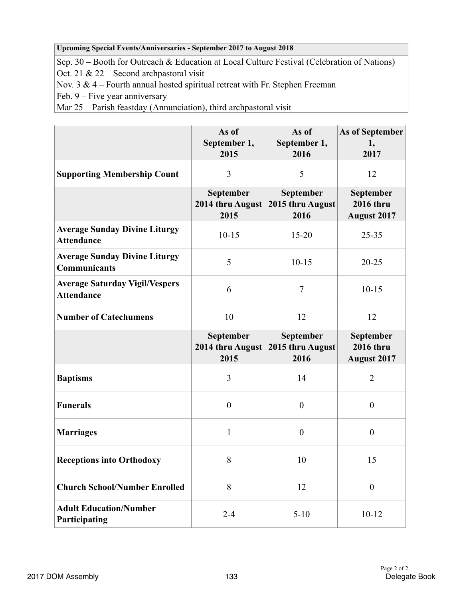#### **Upcoming Special Events/Anniversaries - September 2017 to August 2018**

Sep. 30 – Booth for Outreach & Education at Local Culture Festival (Celebration of Nations)

Oct. 21 & 22 – Second archpastoral visit

Nov.  $3 \& 4$  – Fourth annual hosted spiritual retreat with Fr. Stephen Freeman

Feb. 9 – Five year anniversary

Mar 25 – Parish feastday (Annunciation), third archpastoral visit

|                                                             | As of<br>September 1,<br>2015         | As of<br>September 1,<br>2016         | As of September<br>1,<br>2017                       |
|-------------------------------------------------------------|---------------------------------------|---------------------------------------|-----------------------------------------------------|
| <b>Supporting Membership Count</b>                          | 3                                     | 5                                     | 12                                                  |
|                                                             | September<br>2014 thru August<br>2015 | September<br>2015 thru August<br>2016 | September<br><b>2016 thru</b><br><b>August 2017</b> |
| <b>Average Sunday Divine Liturgy</b><br><b>Attendance</b>   | $10 - 15$                             | $15 - 20$                             | $25 - 35$                                           |
| <b>Average Sunday Divine Liturgy</b><br><b>Communicants</b> | 5                                     | $10 - 15$                             | $20 - 25$                                           |
| <b>Average Saturday Vigil/Vespers</b><br><b>Attendance</b>  | 6                                     | $\overline{7}$                        | $10 - 15$                                           |
| <b>Number of Catechumens</b>                                | 10                                    | 12                                    | 12                                                  |
|                                                             | September<br>2014 thru August<br>2015 | September<br>2015 thru August<br>2016 | September<br><b>2016 thru</b><br><b>August 2017</b> |
| <b>Baptisms</b>                                             | 3                                     | 14                                    | $\overline{2}$                                      |
| <b>Funerals</b>                                             | $\boldsymbol{0}$                      | $\boldsymbol{0}$                      | $\boldsymbol{0}$                                    |
| <b>Marriages</b>                                            | 1                                     | $\boldsymbol{0}$                      | $\boldsymbol{0}$                                    |
| <b>Receptions into Orthodoxy</b>                            | 8                                     | 10                                    | 15                                                  |
| <b>Church School/Number Enrolled</b>                        | 8                                     | 12                                    | $\boldsymbol{0}$                                    |
|                                                             |                                       |                                       |                                                     |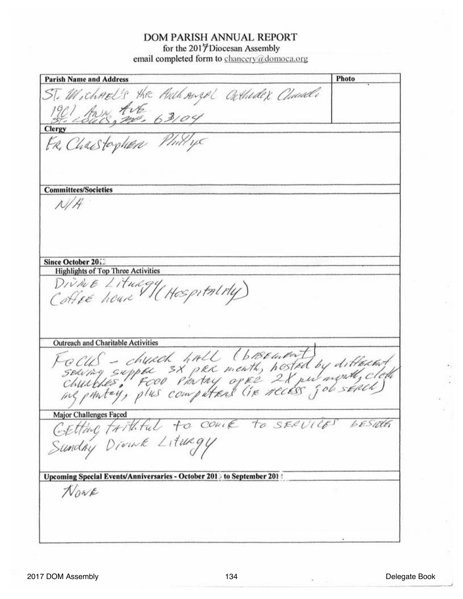#### **DOM PARISH ANNUAL REPORT**

for the 2017 Diocesan Assembly email completed form to chancery@domoca.org

Photo **Parish Name and Address** ST. Michael's the Authorize Cuttudex Chandle **Clergy** FR, Charstopher Phillips **Committees/Societies**  $N/H$ Since October 2012 **Highlights of Top Three Activities** DIVINE Litungy (Hospitality) **Outreach and Charitable Activities** Gocus - church hall (basement)<br>Searing supple 3x per menth, hosted by different<br>churches, Fcoo Phrtny oper 2x put month, cloth Major Challenges Faced Major Challenges Faced<br>CEtting trithful to come to secure besiden Sunday Divink Litungy Upcoming Special Events/Anniversaries - October 2013 to September 201 # NONE